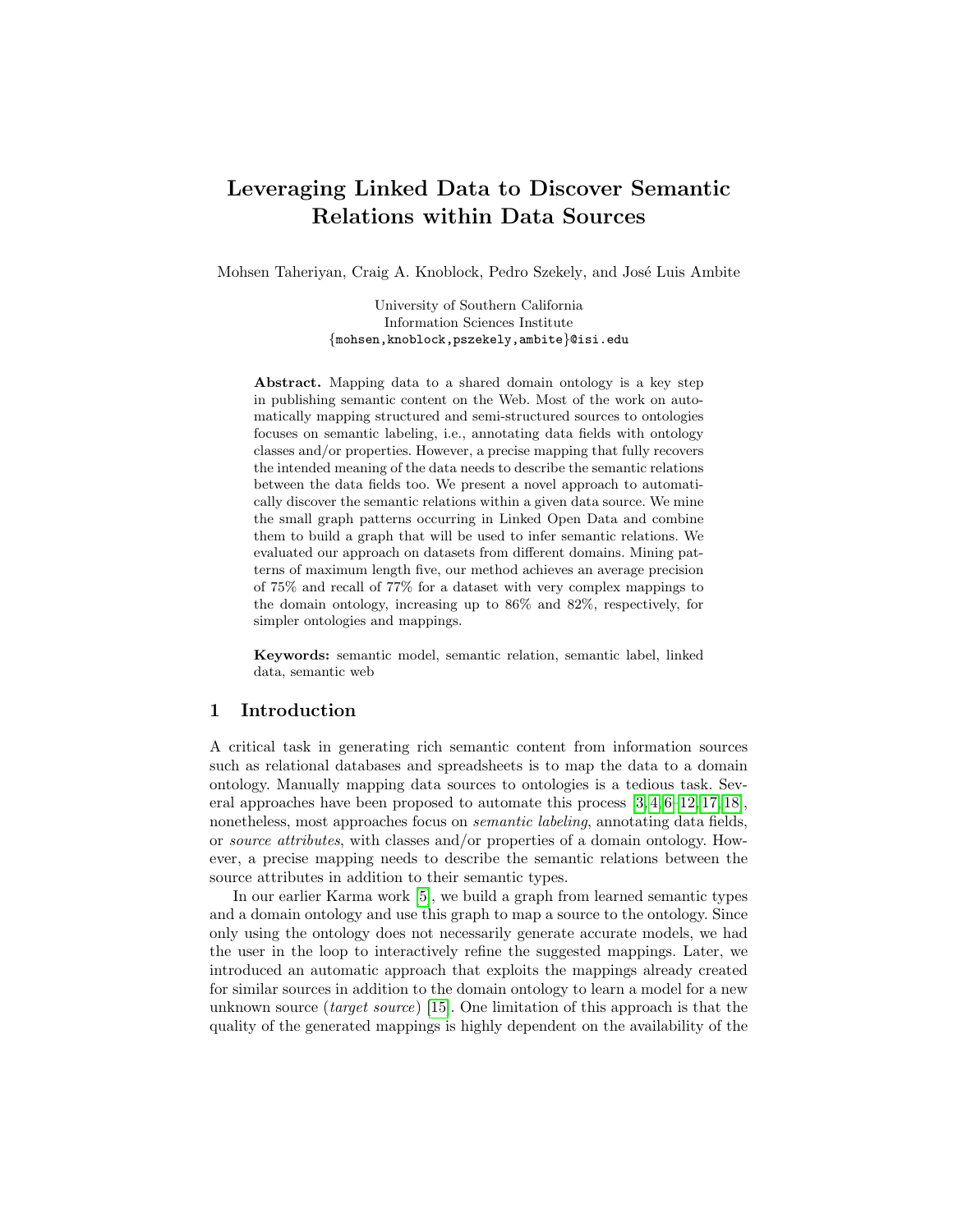# Leveraging Linked Data to Discover Semantic Relations within Data Sources

Mohsen Taheriyan, Craig A. Knoblock, Pedro Szekely, and José Luis Ambite

University of Southern California Information Sciences Institute {mohsen,knoblock,pszekely,ambite}@isi.edu

Abstract. Mapping data to a shared domain ontology is a key step in publishing semantic content on the Web. Most of the work on automatically mapping structured and semi-structured sources to ontologies focuses on semantic labeling, i.e., annotating data fields with ontology classes and/or properties. However, a precise mapping that fully recovers the intended meaning of the data needs to describe the semantic relations between the data fields too. We present a novel approach to automatically discover the semantic relations within a given data source. We mine the small graph patterns occurring in Linked Open Data and combine them to build a graph that will be used to infer semantic relations. We evaluated our approach on datasets from different domains. Mining patterns of maximum length five, our method achieves an average precision of 75% and recall of 77% for a dataset with very complex mappings to the domain ontology, increasing up to 86% and 82%, respectively, for simpler ontologies and mappings.

Keywords: semantic model, semantic relation, semantic label, linked data, semantic web

# 1 Introduction

A critical task in generating rich semantic content from information sources such as relational databases and spreadsheets is to map the data to a domain ontology. Manually mapping data sources to ontologies is a tedious task. Several approaches have been proposed to automate this process [\[3,](#page-15-0) [4,](#page-15-1) [6–](#page-15-2)[12,](#page-15-3) [17,](#page-15-4) [18\]](#page-15-5), nonetheless, most approaches focus on semantic labeling, annotating data fields, or source attributes, with classes and/or properties of a domain ontology. However, a precise mapping needs to describe the semantic relations between the source attributes in addition to their semantic types.

In our earlier Karma work [\[5\]](#page-15-6), we build a graph from learned semantic types and a domain ontology and use this graph to map a source to the ontology. Since only using the ontology does not necessarily generate accurate models, we had the user in the loop to interactively refine the suggested mappings. Later, we introduced an automatic approach that exploits the mappings already created for similar sources in addition to the domain ontology to learn a model for a new unknown source *(target source)* [\[15\]](#page-15-7). One limitation of this approach is that the quality of the generated mappings is highly dependent on the availability of the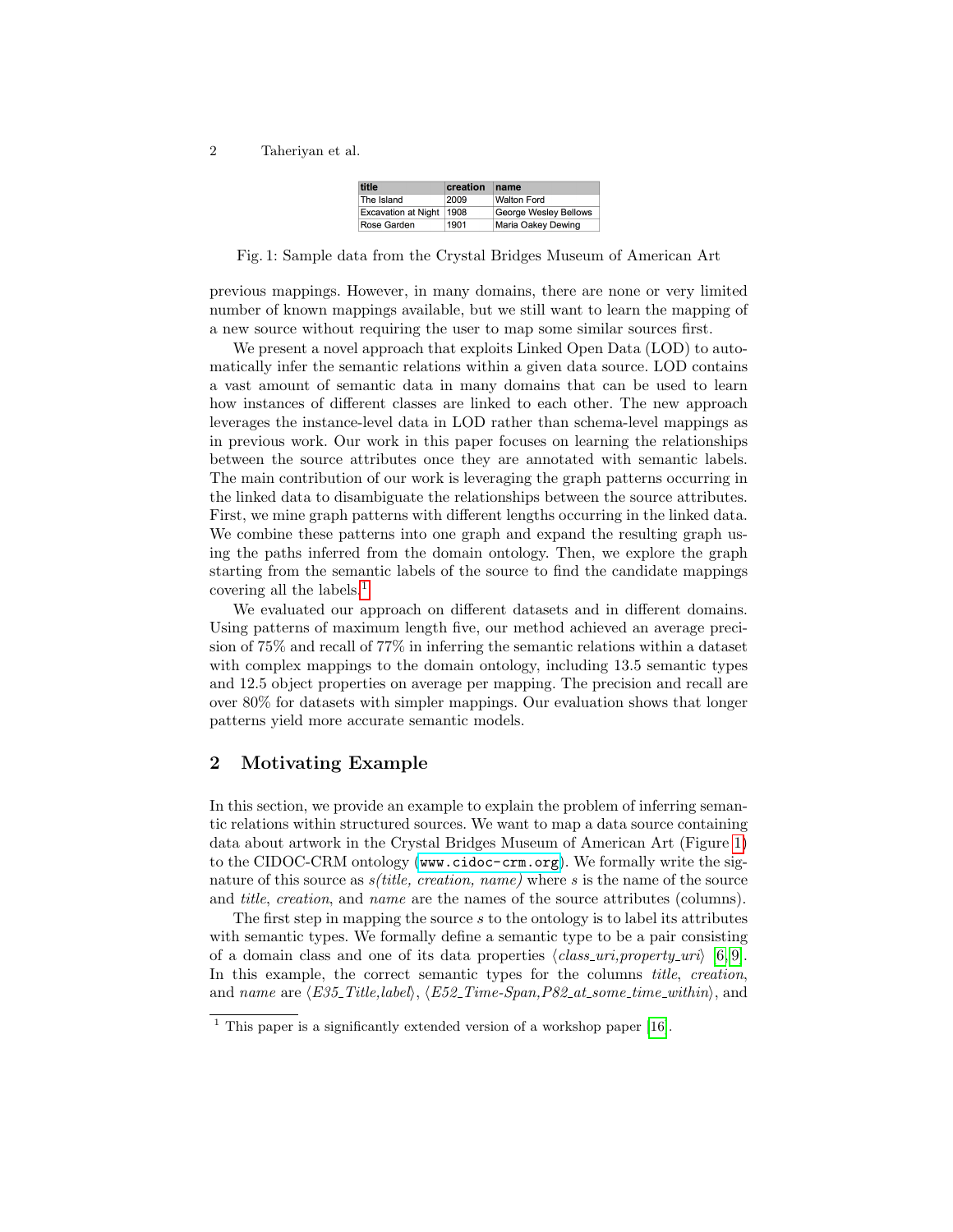| title                      | creation | name                  |
|----------------------------|----------|-----------------------|
| The Island                 | 2009     | <b>Walton Ford</b>    |
| <b>Excavation at Night</b> | 1908     | George Wesley Bellows |
| Rose Garden                | 1901     | Maria Oakey Dewing    |

<span id="page-1-1"></span>Fig. 1: Sample data from the Crystal Bridges Museum of American Art

previous mappings. However, in many domains, there are none or very limited number of known mappings available, but we still want to learn the mapping of a new source without requiring the user to map some similar sources first.

We present a novel approach that exploits Linked Open Data (LOD) to automatically infer the semantic relations within a given data source. LOD contains a vast amount of semantic data in many domains that can be used to learn how instances of different classes are linked to each other. The new approach leverages the instance-level data in LOD rather than schema-level mappings as in previous work. Our work in this paper focuses on learning the relationships between the source attributes once they are annotated with semantic labels. The main contribution of our work is leveraging the graph patterns occurring in the linked data to disambiguate the relationships between the source attributes. First, we mine graph patterns with different lengths occurring in the linked data. We combine these patterns into one graph and expand the resulting graph using the paths inferred from the domain ontology. Then, we explore the graph starting from the semantic labels of the source to find the candidate mappings covering all the labels.<sup>[1](#page-1-0)</sup>

We evaluated our approach on different datasets and in different domains. Using patterns of maximum length five, our method achieved an average precision of 75% and recall of 77% in inferring the semantic relations within a dataset with complex mappings to the domain ontology, including 13.5 semantic types and 12.5 object properties on average per mapping. The precision and recall are over 80% for datasets with simpler mappings. Our evaluation shows that longer patterns yield more accurate semantic models.

# 2 Motivating Example

In this section, we provide an example to explain the problem of inferring semantic relations within structured sources. We want to map a data source containing data about artwork in the Crystal Bridges Museum of American Art (Figure [1\)](#page-1-1) to the CIDOC-CRM ontology (<www.cidoc-crm.org>). We formally write the signature of this source as  $s(title, creation, name)$  where s is the name of the source and title, creation, and name are the names of the source attributes (columns).

The first step in mapping the source s to the ontology is to label its attributes with semantic types. We formally define a semantic type to be a pair consisting of a domain class and one of its data properties  $\langle class\_uri, property\_uri \rangle$  [\[6,](#page-15-2) [9\]](#page-15-8). In this example, the correct semantic types for the columns *title, creation*, and name are  $\langle E35 \rangle$ -Title, label),  $\langle E52 \rangle$ -Time-Span, P82 at some time within), and

<span id="page-1-0"></span> $1$  This paper is a significantly extended version of a workshop paper [\[16\]](#page-15-9).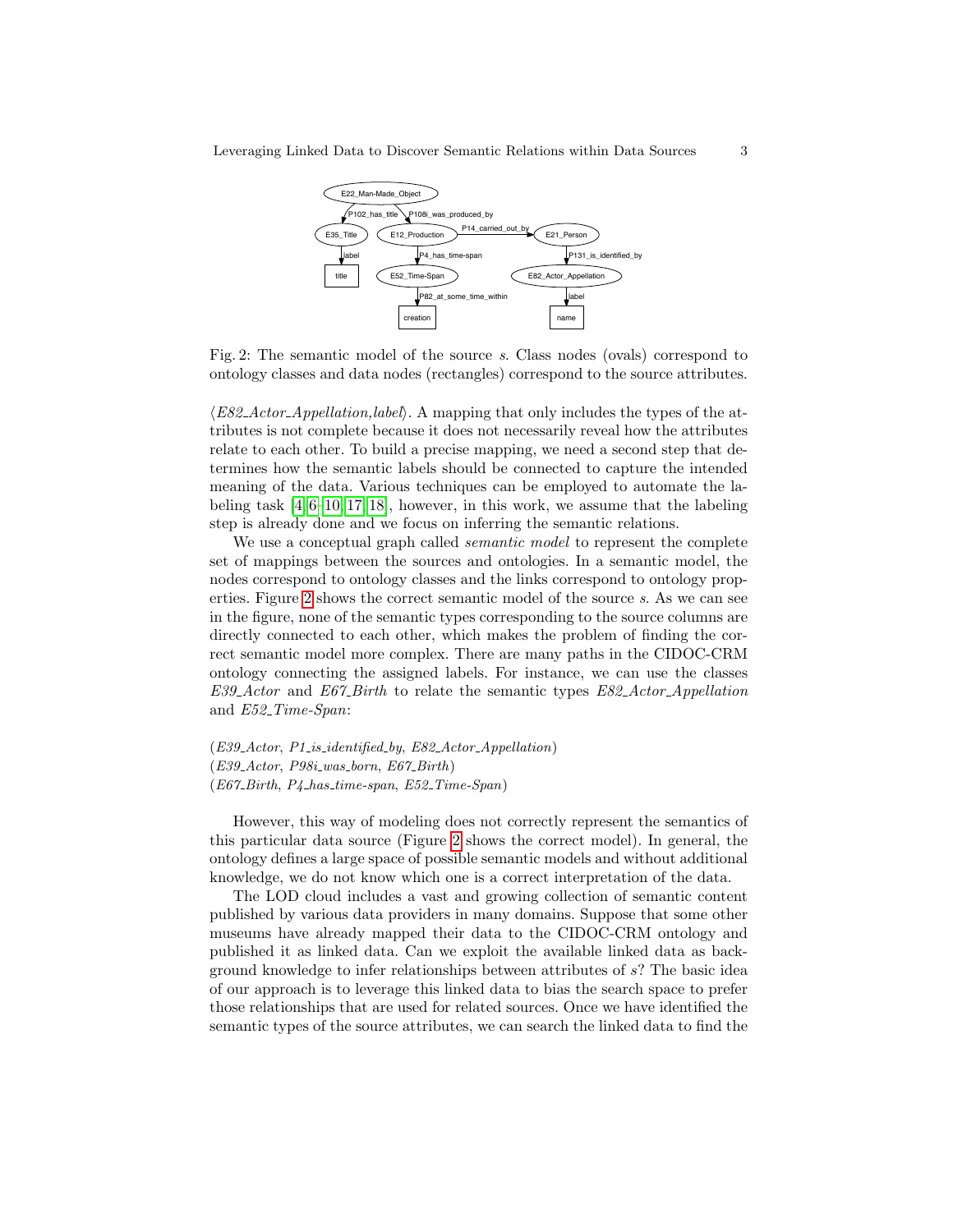<span id="page-2-0"></span>

Fig. 2: The semantic model of the source s. Class nodes (ovals) correspond to ontology classes and data nodes (rectangles) correspond to the source attributes.

 $\langle E82 \text{Actor}\text{A}ppellation, label \rangle$ . A mapping that only includes the types of the attributes is not complete because it does not necessarily reveal how the attributes relate to each other. To build a precise mapping, we need a second step that determines how the semantic labels should be connected to capture the intended meaning of the data. Various techniques can be employed to automate the labeling task [\[4,](#page-15-1) [6–](#page-15-2)[10,](#page-15-10) [17,](#page-15-4) [18\]](#page-15-5), however, in this work, we assume that the labeling step is already done and we focus on inferring the semantic relations.

We use a conceptual graph called *semantic model* to represent the complete set of mappings between the sources and ontologies. In a semantic model, the nodes correspond to ontology classes and the links correspond to ontology properties. Figure [2](#page-2-0) shows the correct semantic model of the source s. As we can see in the figure, none of the semantic types corresponding to the source columns are directly connected to each other, which makes the problem of finding the correct semantic model more complex. There are many paths in the CIDOC-CRM ontology connecting the assigned labels. For instance, we can use the classes E39 Actor and E67 Birth to relate the semantic types E82 Actor Appellation and E52 Time-Span:

 $(E39 \text{ -} Actor, P1 \text{ -} is \text{ -} identified \text{ -} by, E82 \text{ -} Actor \text{ -} Appendix on)$  $(E39 \text{ -} Actor, P98i \text{ -} was \text{ -}born, E67 \text{ -} Birth)$ (E67 Birth, P4 has time-span, E52 Time-Span)

However, this way of modeling does not correctly represent the semantics of this particular data source (Figure [2](#page-2-0) shows the correct model). In general, the ontology defines a large space of possible semantic models and without additional knowledge, we do not know which one is a correct interpretation of the data.

The LOD cloud includes a vast and growing collection of semantic content published by various data providers in many domains. Suppose that some other museums have already mapped their data to the CIDOC-CRM ontology and published it as linked data. Can we exploit the available linked data as background knowledge to infer relationships between attributes of s? The basic idea of our approach is to leverage this linked data to bias the search space to prefer those relationships that are used for related sources. Once we have identified the semantic types of the source attributes, we can search the linked data to find the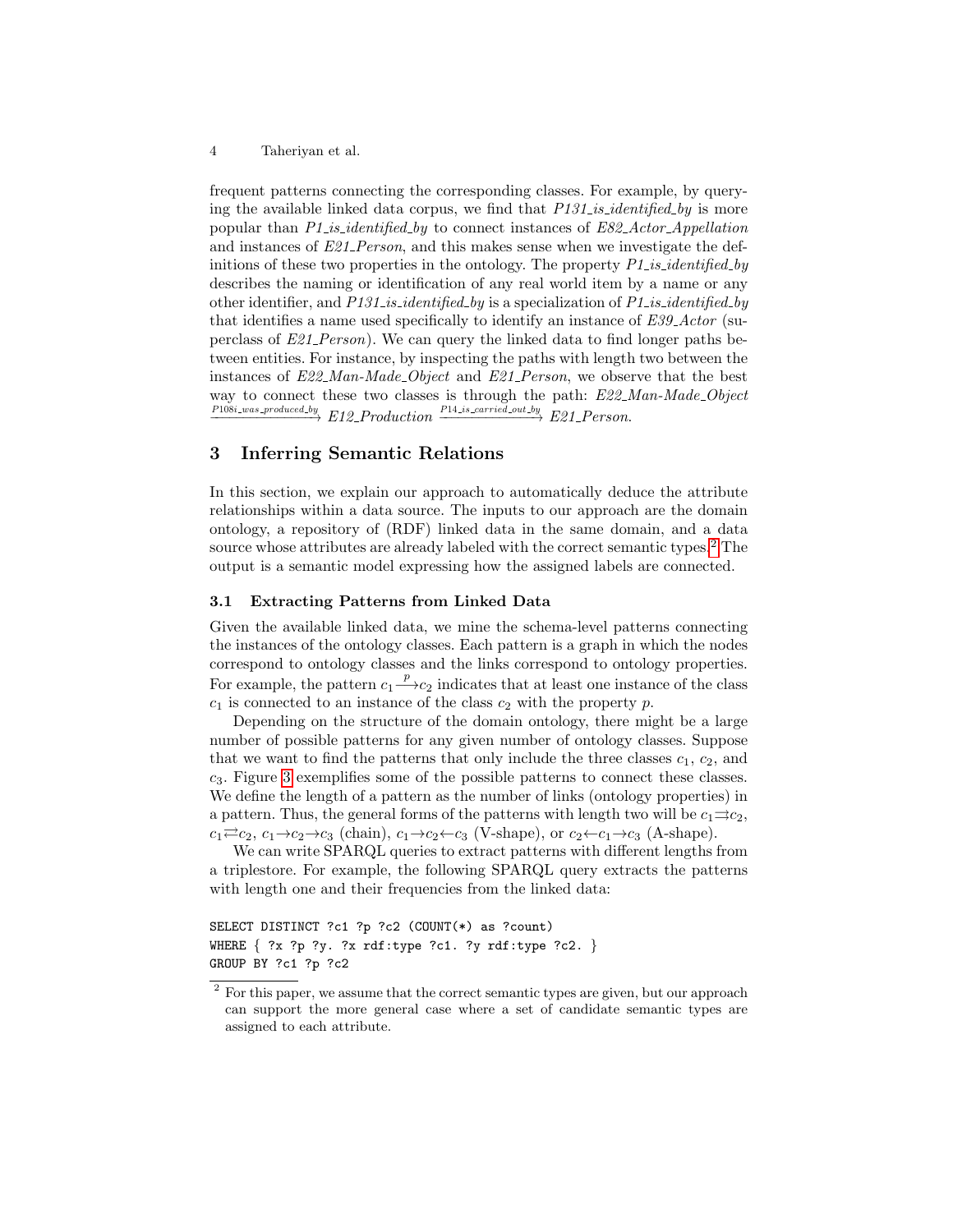frequent patterns connecting the corresponding classes. For example, by querying the available linked data corpus, we find that  $P131$  is identified by is more popular than  $P1$ -is-identified by to connect instances of  $E82$ -Actor Appellation and instances of E21 Person, and this makes sense when we investigate the definitions of these two properties in the ontology. The property  $P1$  is identified by describes the naming or identification of any real world item by a name or any other identifier, and  $P131$  is identified by is a specialization of  $P1$  is identified by that identifies a name used specifically to identify an instance of  $E39 \text{A} \text{c} \text{tor}$  (superclass of E21 Person). We can query the linked data to find longer paths between entities. For instance, by inspecting the paths with length two between the instances of E22\_Man-Made\_Object and E21\_Person, we observe that the best way to connect these two classes is through the path: E22\_Man-Made\_Object  $\xrightarrow{P108i\_was\_produced\_by} E12\_Production \xrightarrow{P14\_is\_carried\_out\_by} E21\_Person.$ 

# 3 Inferring Semantic Relations

In this section, we explain our approach to automatically deduce the attribute relationships within a data source. The inputs to our approach are the domain ontology, a repository of (RDF) linked data in the same domain, and a data source whose attributes are already labeled with the correct semantic types.<sup>[2](#page-3-0)</sup> The output is a semantic model expressing how the assigned labels are connected.

## 3.1 Extracting Patterns from Linked Data

Given the available linked data, we mine the schema-level patterns connecting the instances of the ontology classes. Each pattern is a graph in which the nodes correspond to ontology classes and the links correspond to ontology properties. For example, the pattern  $c_1 \stackrel{p}{\longrightarrow} c_2$  indicates that at least one instance of the class  $c_1$  is connected to an instance of the class  $c_2$  with the property p.

Depending on the structure of the domain ontology, there might be a large number of possible patterns for any given number of ontology classes. Suppose that we want to find the patterns that only include the three classes  $c_1, c_2$ , and c3. Figure [3](#page-4-0) exemplifies some of the possible patterns to connect these classes. We define the length of a pattern as the number of links (ontology properties) in a pattern. Thus, the general forms of the patterns with length two will be  $c_1 \rightrightarrows c_2$ ,  $c_1 \rightleftarrows c_2$ ,  $c_1 \rightarrow c_2 \rightarrow c_3$  (chain),  $c_1 \rightarrow c_2 \leftarrow c_3$  (V-shape), or  $c_2 \leftarrow c_1 \rightarrow c_3$  (A-shape).

We can write SPARQL queries to extract patterns with different lengths from a triplestore. For example, the following SPARQL query extracts the patterns with length one and their frequencies from the linked data:

SELECT DISTINCT ?c1 ?p ?c2 (COUNT(\*) as ?count) WHERE { ?x ?p ?y. ?x rdf:type ?c1. ?y rdf:type ?c2. } GROUP BY ?c1 ?p ?c2

<span id="page-3-0"></span> $2$  For this paper, we assume that the correct semantic types are given, but our approach can support the more general case where a set of candidate semantic types are assigned to each attribute.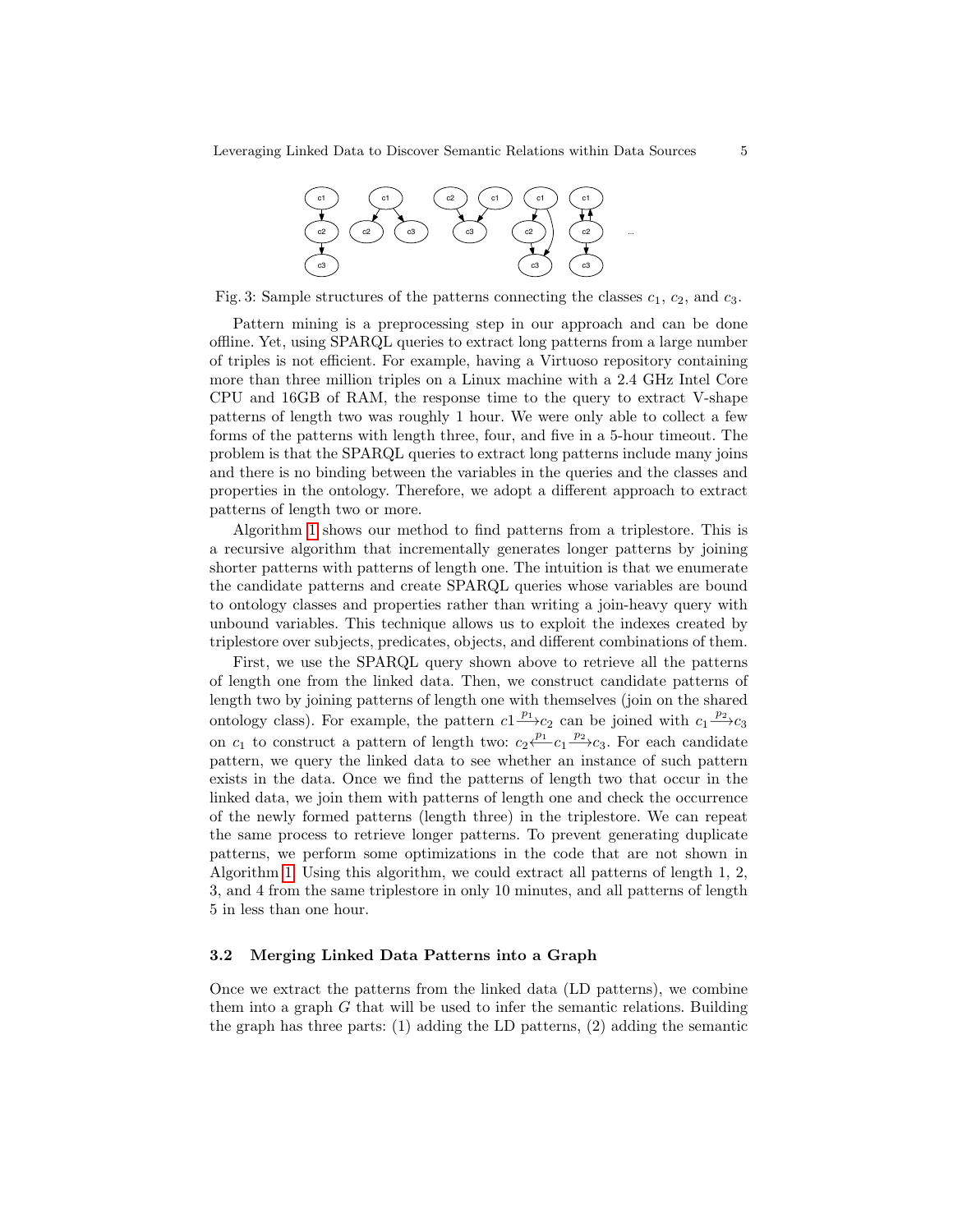<span id="page-4-0"></span>

Fig. 3: Sample structures of the patterns connecting the classes  $c_1$ ,  $c_2$ , and  $c_3$ .

Pattern mining is a preprocessing step in our approach and can be done offline. Yet, using SPARQL queries to extract long patterns from a large number of triples is not efficient. For example, having a Virtuoso repository containing more than three million triples on a Linux machine with a 2.4 GHz Intel Core CPU and 16GB of RAM, the response time to the query to extract V-shape patterns of length two was roughly 1 hour. We were only able to collect a few forms of the patterns with length three, four, and five in a 5-hour timeout. The problem is that the SPARQL queries to extract long patterns include many joins and there is no binding between the variables in the queries and the classes and properties in the ontology. Therefore, we adopt a different approach to extract patterns of length two or more.

Algorithm [1](#page-5-0) shows our method to find patterns from a triplestore. This is a recursive algorithm that incrementally generates longer patterns by joining shorter patterns with patterns of length one. The intuition is that we enumerate the candidate patterns and create SPARQL queries whose variables are bound to ontology classes and properties rather than writing a join-heavy query with unbound variables. This technique allows us to exploit the indexes created by triplestore over subjects, predicates, objects, and different combinations of them.

First, we use the SPARQL query shown above to retrieve all the patterns of length one from the linked data. Then, we construct candidate patterns of length two by joining patterns of length one with themselves (join on the shared ontology class). For example, the pattern  $c1 \xrightarrow{p_1} c_2$  can be joined with  $c_1 \xrightarrow{p_2} c_3$ on  $c_1$  to construct a pattern of length two:  $c_2 \xleftarrow{p_1} c_1 \xrightarrow{p_2} c_3$ . For each candidate pattern, we query the linked data to see whether an instance of such pattern exists in the data. Once we find the patterns of length two that occur in the linked data, we join them with patterns of length one and check the occurrence of the newly formed patterns (length three) in the triplestore. We can repeat the same process to retrieve longer patterns. To prevent generating duplicate patterns, we perform some optimizations in the code that are not shown in Algorithm [1.](#page-5-0) Using this algorithm, we could extract all patterns of length 1, 2, 3, and 4 from the same triplestore in only 10 minutes, and all patterns of length 5 in less than one hour.

### 3.2 Merging Linked Data Patterns into a Graph

Once we extract the patterns from the linked data (LD patterns), we combine them into a graph  $G$  that will be used to infer the semantic relations. Building the graph has three parts: (1) adding the LD patterns, (2) adding the semantic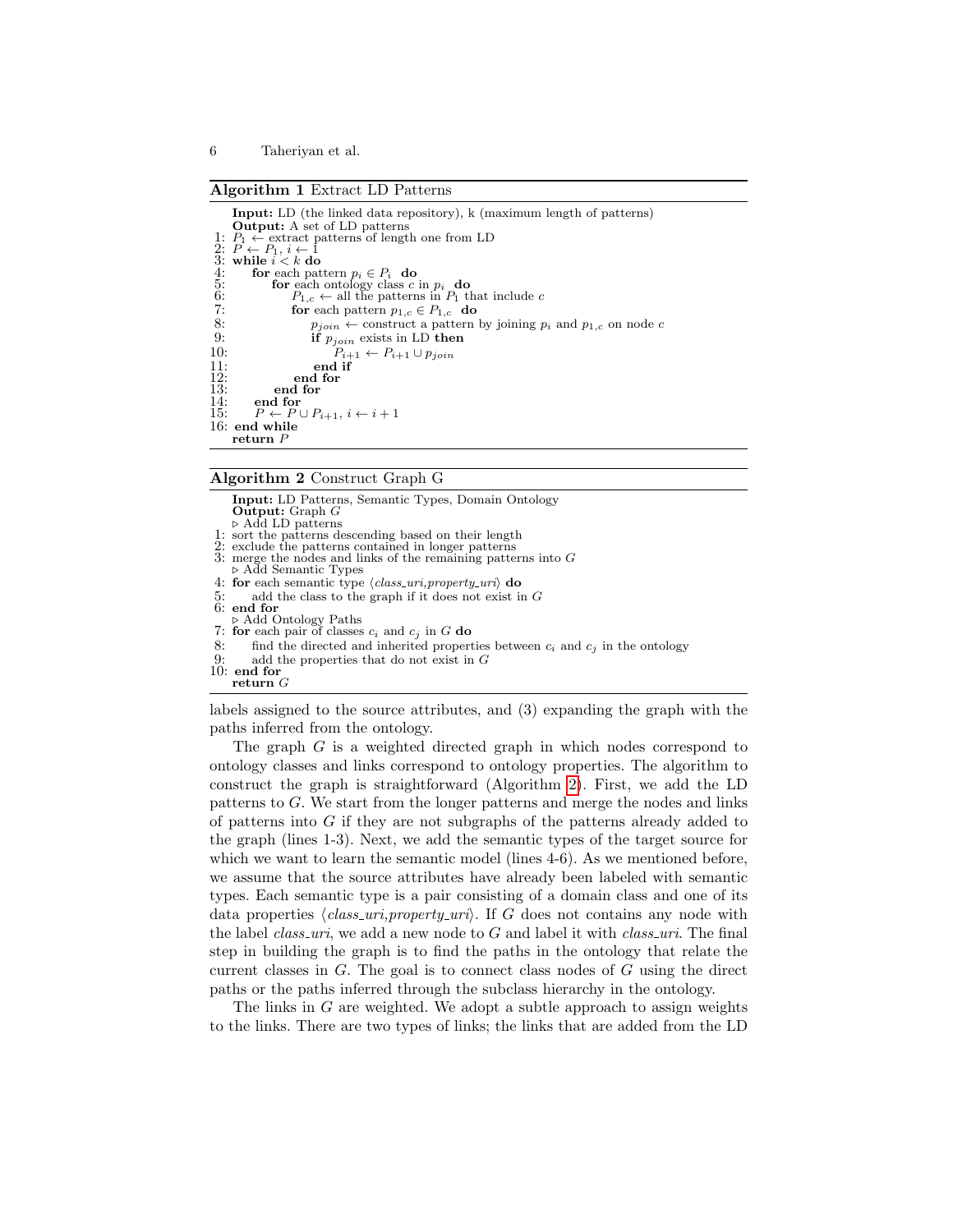<span id="page-5-0"></span>Algorithm 1 Extract LD Patterns

Input: LD (the linked data repository), k (maximum length of patterns) Output: A set of LD patterns 1:  $P_1 \xleftarrow{\leftarrow}$  extract patterns of length one from LD<br>2:  $P \leftarrow P_1, i \leftarrow 1$ <br>3: while  $i < k$  do 4: for each pattern  $p_i \in P_i$  do<br>5: for each ontology class c in  $p_i$  do<br>6:  $P_{1,c} \leftarrow$  all the patterns in  $P_1$  that include c 7: for each pattern  $p_{1,c} \in P_{1,c}$  do<br>8:  $p_{join} \leftarrow \text{construct a pattern}$ 8:  $p_{join} \leftarrow \text{construct a pattern by joining } p_i \text{ and } p_{1,c} \text{ on node } c$ <br>9: if  $p_{join} \text{ exists in LD then}$ 9: **if**  $p_{join}$  exists in LD **then**<br>10:  $P_{i+1} \leftarrow P_{i+1} \cup p_{join}$ 10:  $P_{i+1} \leftarrow P_{i+1} \cup p_{join}$ <br>11: end if 11: end if<br>12: end for 12: end for 13: end for 14: end for<br>15:  $P \leftarrow P \cup$  $P \leftarrow P \cup P_{i+1}, i \leftarrow i+1$ 16: end while return P

### <span id="page-5-1"></span>Algorithm 2 Construct Graph G

Input: LD Patterns, Semantic Types, Domain Ontology Output: Graph G  $\triangleright$  Add LD patterns 1: sort the patterns descending based on their length 2: exclude the patterns contained in longer patterns 3: merge the nodes and links of the remaining patterns into G . Add Semantic Types 4: for each semantic type  $\langle class\_uri, property\_uri \rangle$  do 5: add the class to the graph if it does not exist in G 6: end for . Add Ontology Paths 7: **for** each pair of classes  $c_i$  and  $c_j$  in G **do** 8: find the directed and inherited propert find the directed and inherited properties between  $c_i$  and  $c_j$  in the ontology 9: add the properties that do not exist in  $G$ 10: end for return G

labels assigned to the source attributes, and (3) expanding the graph with the paths inferred from the ontology.

The graph G is a weighted directed graph in which nodes correspond to ontology classes and links correspond to ontology properties. The algorithm to construct the graph is straightforward (Algorithm [2\)](#page-5-1). First, we add the LD patterns to G. We start from the longer patterns and merge the nodes and links of patterns into G if they are not subgraphs of the patterns already added to the graph (lines 1-3). Next, we add the semantic types of the target source for which we want to learn the semantic model (lines 4-6). As we mentioned before, we assume that the source attributes have already been labeled with semantic types. Each semantic type is a pair consisting of a domain class and one of its data properties  $\langle class\_uri, property\_uri \rangle$ . If G does not contains any node with the label *class\_uri*, we add a new node to  $G$  and label it with *class\_uri*. The final step in building the graph is to find the paths in the ontology that relate the current classes in  $G$ . The goal is to connect class nodes of  $G$  using the direct paths or the paths inferred through the subclass hierarchy in the ontology.

The links in  $G$  are weighted. We adopt a subtle approach to assign weights to the links. There are two types of links; the links that are added from the LD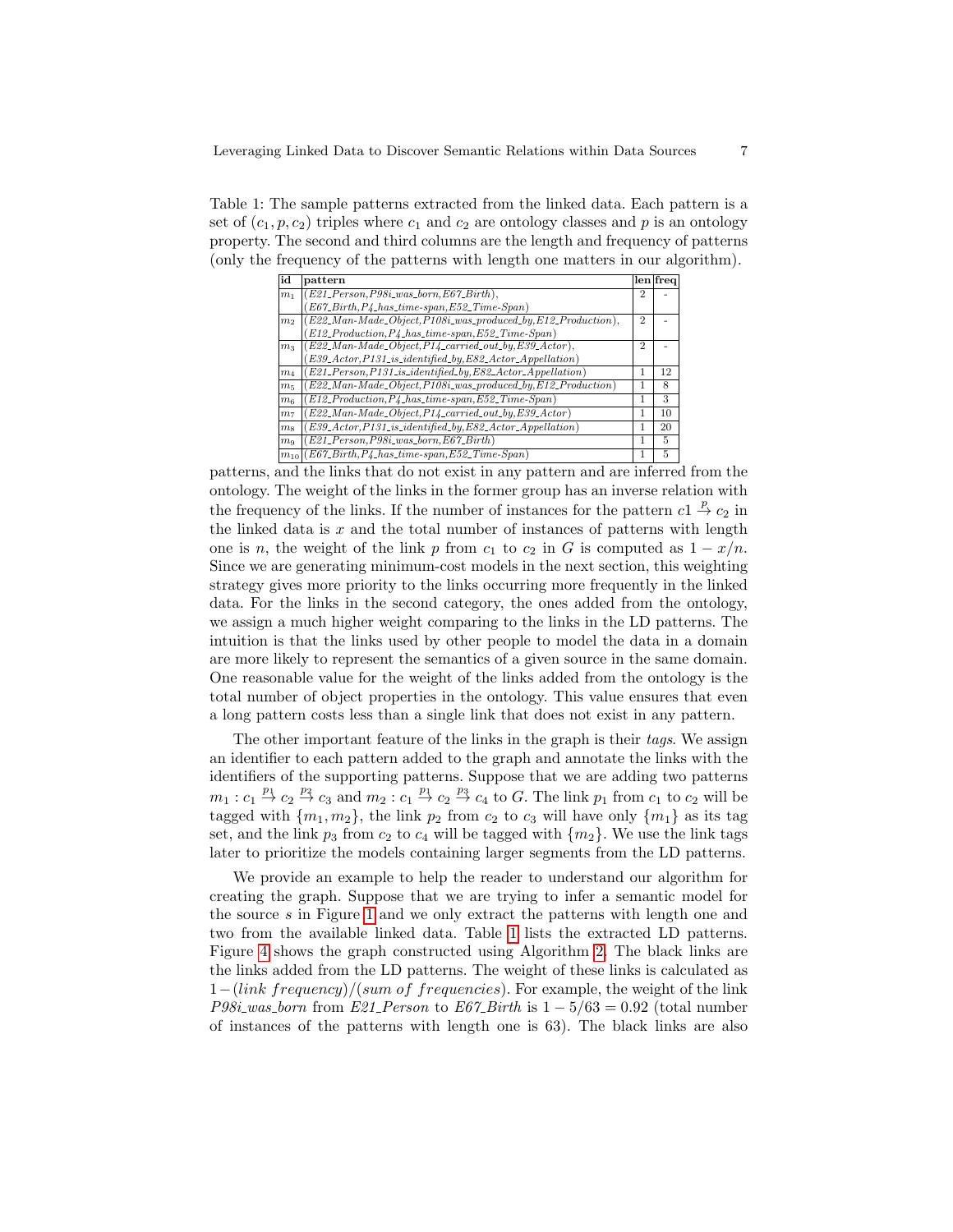<span id="page-6-0"></span>Table 1: The sample patterns extracted from the linked data. Each pattern is a set of  $(c_1, p, c_2)$  triples where  $c_1$  and  $c_2$  are ontology classes and p is an ontology property. The second and third columns are the length and frequency of patterns (only the frequency of the patterns with length one matters in our algorithm).

| id             | pattern                                                                                                                         |                | len freq |
|----------------|---------------------------------------------------------------------------------------------------------------------------------|----------------|----------|
| m <sub>1</sub> | $(E21\text{.}Person, P98i\text{.}was\text{.}born, E67\text{.} Birth),$                                                          | $\overline{2}$ |          |
|                | $E67\_Birth.P4\_has\_time-span.E52\_Time-Span)$                                                                                 |                |          |
| m <sub>2</sub> | $(E22_Man-Made\_Object, P108i_was\_produced_by, E12_Production),$                                                               | 2              |          |
|                | $E12\_Production$ , $P4$ <sub>-has-time-span</sub> , $E52$ <sub>-</sub> Time-Span)                                              |                |          |
| m <sub>3</sub> | $(E22\_Man-Made\_Object, P14\_carried\_out\_by, E39\_Action),$                                                                  | $\overline{2}$ |          |
|                | $E39 \text{ -} Actor, P131 \text{ -} is \text{ -} identified \text{ -} by \text{ -} E82 \text{ -} Actor \text{ -} Appellation)$ |                |          |
| m <sub>4</sub> | E21_Person, P131_is_identified_by, E82_Actor_Appellation)                                                                       | 1              | 12       |
| m <sub>5</sub> | $E22_Man-Made\_Object, P108i_was\_produced_by, E12_Production)$                                                                 | 1              | 8        |
| m <sub>6</sub> | $(E12\_Production, P4\_has\_time\text{-}span, E52\_Time\text{-}Span)$                                                           | 1              | 3        |
| m <sub>7</sub> | $E22\_Man-Made\_Object, P14\_carried\_out_by, E39\_Action)$                                                                     | 1              | 10       |
| m <sub>8</sub> | $ES9 \text{ -} Actor, P131 \text{ -} is \text{ -} identified \text{ -} by, E82 \text{ -} Actor \text{ -} Appendix on)$          | 1              | 20       |
| m <sub>9</sub> | $(E21\text{.}Person, P98i\text{.}was\text{.}born, E67\text{.} Birth)$                                                           | 1              | 5        |
| $m_{10}$       | $(E67\_Birth.P4\_has\_time-span.E52\_Time-Span)$                                                                                | 1              | 5        |

patterns, and the links that do not exist in any pattern and are inferred from the ontology. The weight of the links in the former group has an inverse relation with the frequency of the links. If the number of instances for the pattern  $c_1 \stackrel{p}{\to} c_2$  in the linked data is  $x$  and the total number of instances of patterns with length one is n, the weight of the link p from  $c_1$  to  $c_2$  in G is computed as  $1 - x/n$ . Since we are generating minimum-cost models in the next section, this weighting strategy gives more priority to the links occurring more frequently in the linked data. For the links in the second category, the ones added from the ontology, we assign a much higher weight comparing to the links in the LD patterns. The intuition is that the links used by other people to model the data in a domain are more likely to represent the semantics of a given source in the same domain. One reasonable value for the weight of the links added from the ontology is the total number of object properties in the ontology. This value ensures that even a long pattern costs less than a single link that does not exist in any pattern.

The other important feature of the links in the graph is their tags. We assign an identifier to each pattern added to the graph and annotate the links with the identifiers of the supporting patterns. Suppose that we are adding two patterns  $m_1: c_1 \stackrel{p_1}{\rightarrow} c_2 \stackrel{p_2}{\rightarrow} c_3$  and  $m_2: c_1 \stackrel{p_1}{\rightarrow} c_2 \stackrel{p_3}{\rightarrow} c_4$  to G. The link  $p_1$  from  $c_1$  to  $c_2$  will be tagged with  $\{m_1, m_2\}$ , the link  $p_2$  from  $c_2$  to  $c_3$  will have only  $\{m_1\}$  as its tag set, and the link  $p_3$  from  $c_2$  to  $c_4$  will be tagged with  $\{m_2\}$ . We use the link tags later to prioritize the models containing larger segments from the LD patterns.

We provide an example to help the reader to understand our algorithm for creating the graph. Suppose that we are trying to infer a semantic model for the source s in Figure [1](#page-1-1) and we only extract the patterns with length one and two from the available linked data. Table [1](#page-6-0) lists the extracted LD patterns. Figure [4](#page-7-0) shows the graph constructed using Algorithm [2.](#page-5-1) The black links are the links added from the LD patterns. The weight of these links is calculated as  $1-(link frequency)/(sum of frequencies)$ . For example, the weight of the link P98i was born from E21 Person to E67 Birth is  $1 - 5/63 = 0.92$  (total number of instances of the patterns with length one is 63). The black links are also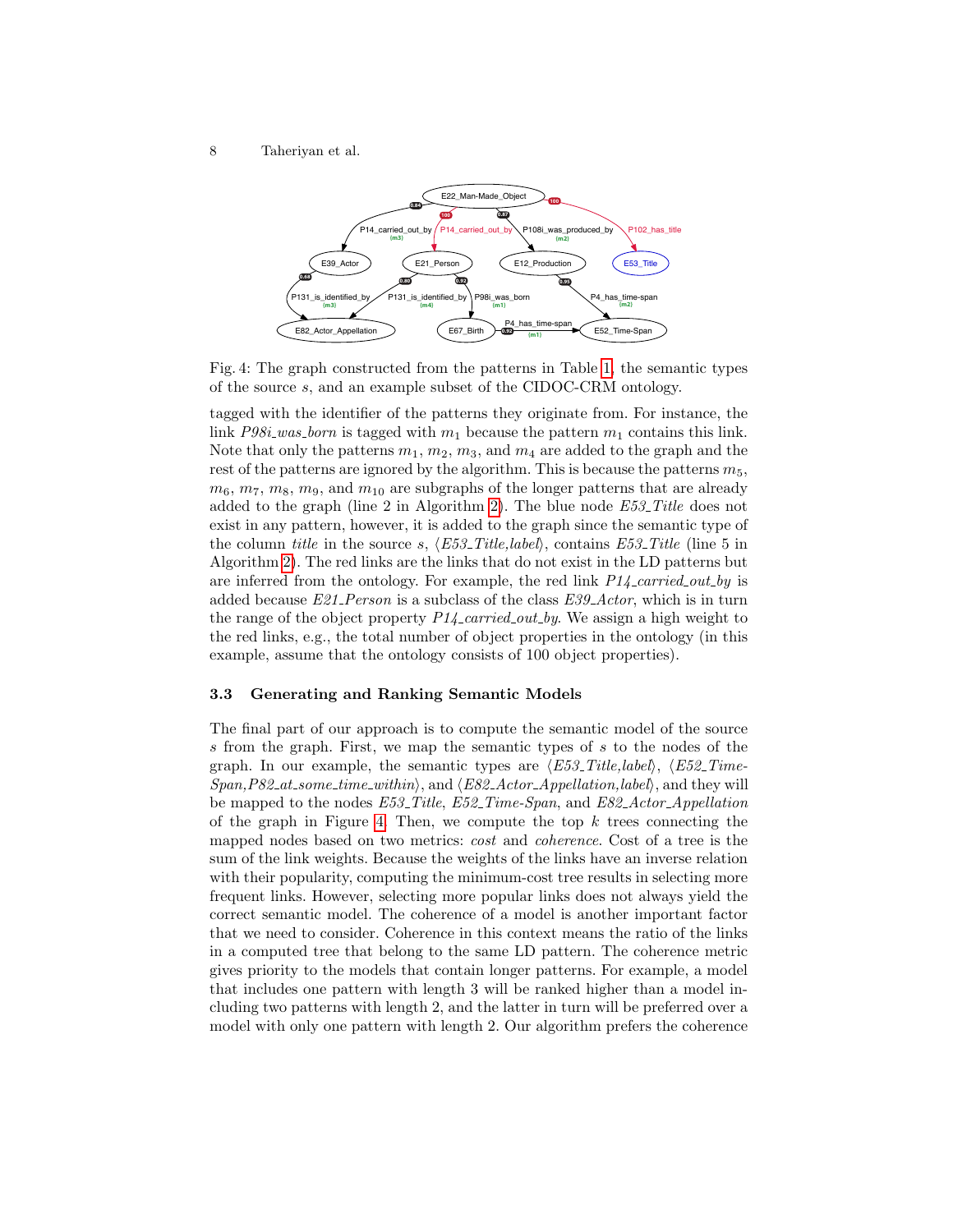<span id="page-7-0"></span>

Fig. 4: The graph constructed from the patterns in Table [1,](#page-6-0) the semantic types of the source s, and an example subset of the CIDOC-CRM ontology.

tagged with the identifier of the patterns they originate from. For instance, the link  $P98i_was\_born$  is tagged with  $m_1$  because the pattern  $m_1$  contains this link. Note that only the patterns  $m_1, m_2, m_3$ , and  $m_4$  are added to the graph and the rest of the patterns are ignored by the algorithm. This is because the patterns  $m_5$ ,  $m_6, m_7, m_8, m_9$ , and  $m_{10}$  are subgraphs of the longer patterns that are already added to the graph (line 2 in Algorithm [2\)](#page-5-1). The blue node  $E53\_Title$  does not exist in any pattern, however, it is added to the graph since the semantic type of the column title in the source s,  $\langle E53 \text{--} Title, label \rangle$ , contains  $E53 \text{--} Title$  (line 5 in Algorithm [2\)](#page-5-1). The red links are the links that do not exist in the LD patterns but are inferred from the ontology. For example, the red link  $P14 \text{-}carried\_out\_by$  is added because  $E21$ -Person is a subclass of the class  $E39$ -Actor, which is in turn the range of the object property  $P14$ -carried out by. We assign a high weight to the red links, e.g., the total number of object properties in the ontology (in this example, assume that the ontology consists of 100 object properties).

## 3.3 Generating and Ranking Semantic Models

The final part of our approach is to compute the semantic model of the source s from the graph. First, we map the semantic types of s to the nodes of the graph. In our example, the semantic types are  $\langle E53 \rangle$  Title, label,  $\langle E52 \rangle$  Time- $Span,PS2_at\_some_time\_within\rangle$ , and  $\langle ES2\_Action\_Application, label\rangle$ , and they will be mapped to the nodes E53\_Title, E52\_Time-Span, and E82\_Actor\_Appellation of the graph in Figure [4.](#page-7-0) Then, we compute the top  $k$  trees connecting the mapped nodes based on two metrics: *cost* and *coherence*. Cost of a tree is the sum of the link weights. Because the weights of the links have an inverse relation with their popularity, computing the minimum-cost tree results in selecting more frequent links. However, selecting more popular links does not always yield the correct semantic model. The coherence of a model is another important factor that we need to consider. Coherence in this context means the ratio of the links in a computed tree that belong to the same LD pattern. The coherence metric gives priority to the models that contain longer patterns. For example, a model that includes one pattern with length 3 will be ranked higher than a model including two patterns with length 2, and the latter in turn will be preferred over a model with only one pattern with length 2. Our algorithm prefers the coherence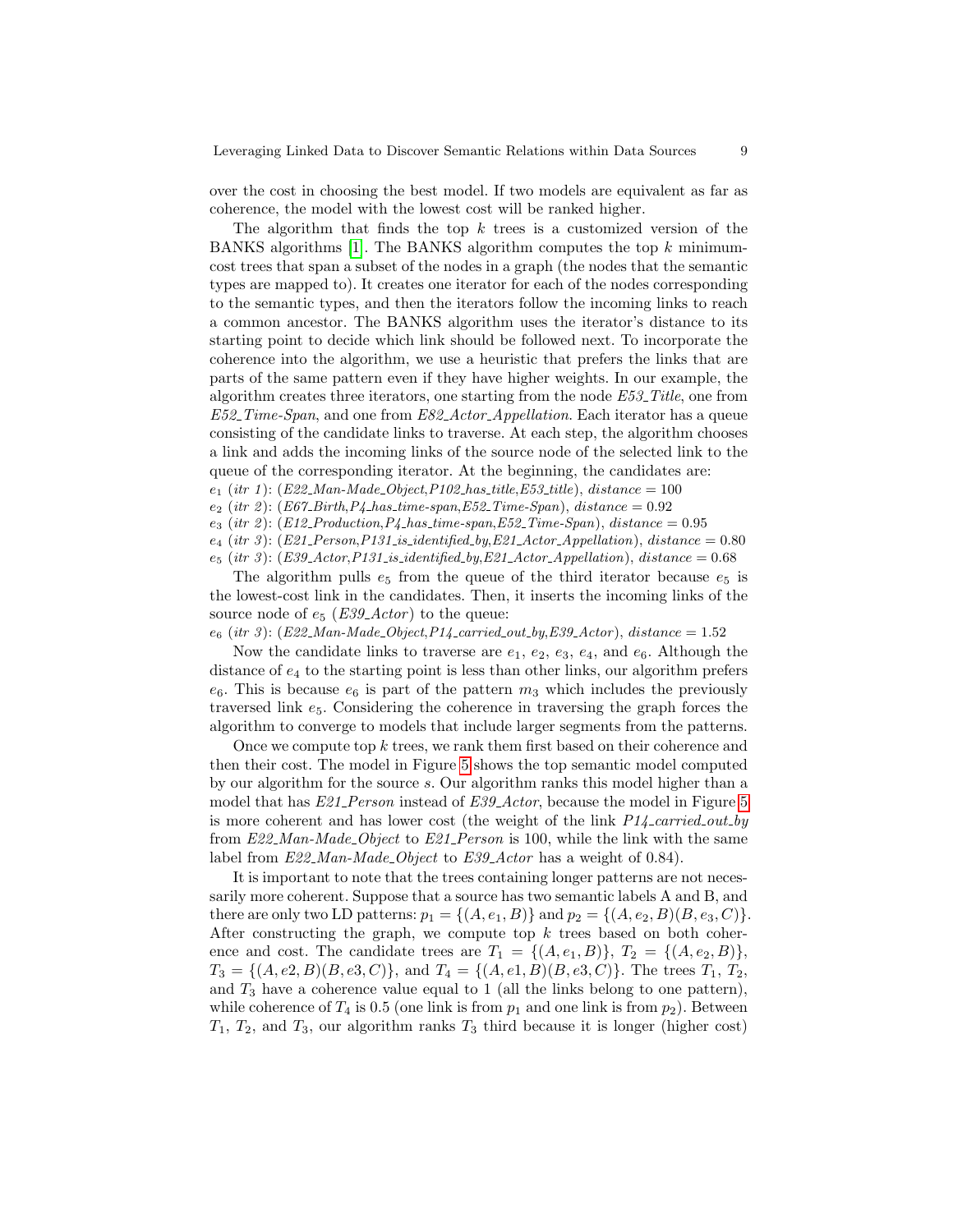over the cost in choosing the best model. If two models are equivalent as far as coherence, the model with the lowest cost will be ranked higher.

The algorithm that finds the top  $k$  trees is a customized version of the BANKS algorithms [\[1\]](#page-15-11). The BANKS algorithm computes the top  $k$  minimumcost trees that span a subset of the nodes in a graph (the nodes that the semantic types are mapped to). It creates one iterator for each of the nodes corresponding to the semantic types, and then the iterators follow the incoming links to reach a common ancestor. The BANKS algorithm uses the iterator's distance to its starting point to decide which link should be followed next. To incorporate the coherence into the algorithm, we use a heuristic that prefers the links that are parts of the same pattern even if they have higher weights. In our example, the algorithm creates three iterators, one starting from the node  $E53\_Title$ , one from E52 Time-Span, and one from E82 Actor Appellation. Each iterator has a queue consisting of the candidate links to traverse. At each step, the algorithm chooses a link and adds the incoming links of the source node of the selected link to the queue of the corresponding iterator. At the beginning, the candidates are:

- $e_2$  (itr 2): (E67\_Birth,  $P_4$ \_has\_time-span, E52\_Time-Span), distance = 0.92
- $e_3$  (itr 2): (E12\_Production, P4\_has\_time-span, E52\_Time-Span), distance = 0.95
- $e_4$  (itr 3): (E21\_Person, P131\_is\_identified\_by, E21\_Actor\_Appellation), distance = 0.80
- $e_5$  (itr 3): (E39\_Actor,P131\_is\_identified\_by,E21\_Actor\_Appellation), distance = 0.68

The algorithm pulls  $e_5$  from the queue of the third iterator because  $e_5$  is the lowest-cost link in the candidates. Then, it inserts the incoming links of the source node of  $e_5$  (*E39\_Actor*) to the queue:

 $e_6$  (itr 3): (E22\_Man-Made\_Object, P14\_carried\_out\_by, E39\_Actor), distance = 1.52

Now the candidate links to traverse are  $e_1, e_2, e_3, e_4$ , and  $e_6$ . Although the distance of  $e_4$  to the starting point is less than other links, our algorithm prefers  $e_6$ . This is because  $e_6$  is part of the pattern  $m_3$  which includes the previously traversed link  $e_5$ . Considering the coherence in traversing the graph forces the algorithm to converge to models that include larger segments from the patterns.

Once we compute top k trees, we rank them first based on their coherence and then their cost. The model in Figure [5](#page-9-0) shows the top semantic model computed by our algorithm for the source s. Our algorithm ranks this model higher than a model that has E21\_Person instead of E39\_Actor, because the model in Figure [5](#page-9-0) is more coherent and has lower cost (the weight of the link  $P14$ -carried out by from E22\_Man-Made\_Object to E21\_Person is 100, while the link with the same label from  $E22_M$ an-Made Object to  $E39_A$  Actor has a weight of 0.84).

It is important to note that the trees containing longer patterns are not necessarily more coherent. Suppose that a source has two semantic labels A and B, and there are only two LD patterns:  $p_1 = \{(A, e_1, B)\}\$  and  $p_2 = \{(A, e_2, B)(B, e_3, C)\}\$ . After constructing the graph, we compute top  $k$  trees based on both coherence and cost. The candidate trees are  $T_1 = \{(A, e_1, B)\}, T_2 = \{(A, e_2, B)\},$  $T_3 = \{(A, e2, B)(B, e3, C)\}, \text{ and } T_4 = \{(A, e1, B)(B, e3, C)\}.$  The trees  $T_1, T_2,$ and  $T_3$  have a coherence value equal to 1 (all the links belong to one pattern), while coherence of  $T_4$  is 0.5 (one link is from  $p_1$  and one link is from  $p_2$ ). Between  $T_1, T_2$ , and  $T_3$ , our algorithm ranks  $T_3$  third because it is longer (higher cost)

 $e_1$  (itr 1): (E22\_Man-Made\_Object,P102\_has\_title,E53\_title), distance = 100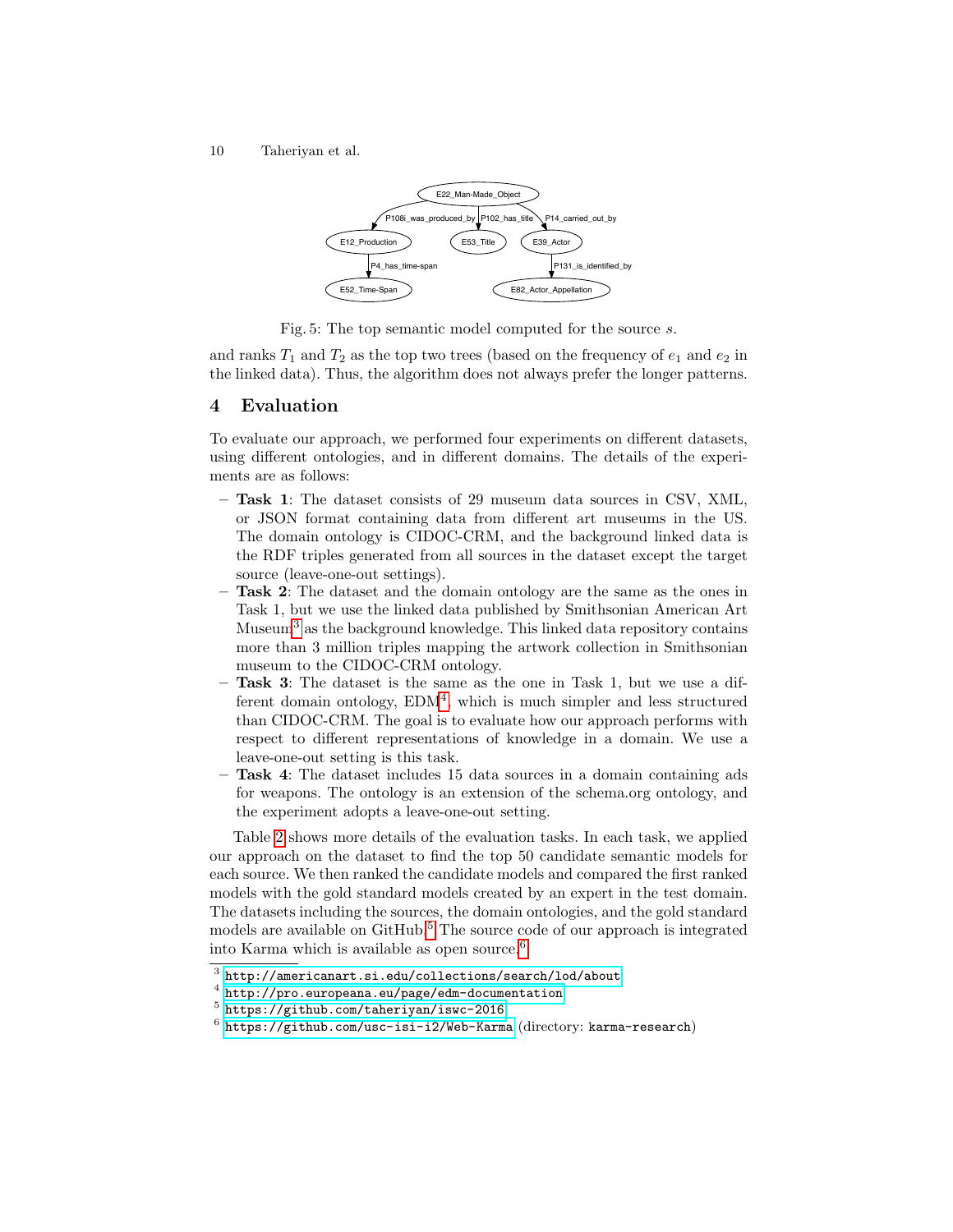<span id="page-9-0"></span>10 Taheriyan et al.



Fig. 5: The top semantic model computed for the source s.

and ranks  $T_1$  and  $T_2$  as the top two trees (based on the frequency of  $e_1$  and  $e_2$  in the linked data). Thus, the algorithm does not always prefer the longer patterns.

## 4 Evaluation

To evaluate our approach, we performed four experiments on different datasets, using different ontologies, and in different domains. The details of the experiments are as follows:

- Task 1: The dataset consists of 29 museum data sources in CSV, XML, or JSON format containing data from different art museums in the US. The domain ontology is CIDOC-CRM, and the background linked data is the RDF triples generated from all sources in the dataset except the target source (leave-one-out settings).
- Task 2: The dataset and the domain ontology are the same as the ones in Task 1, but we use the linked data published by Smithsonian American Art Museum[3](#page-9-1) as the background knowledge. This linked data repository contains more than 3 million triples mapping the artwork collection in Smithsonian museum to the CIDOC-CRM ontology.
- Task 3: The dataset is the same as the one in Task 1, but we use a different domain ontology,  $EDM<sup>4</sup>$  $EDM<sup>4</sup>$  $EDM<sup>4</sup>$ , which is much simpler and less structured than CIDOC-CRM. The goal is to evaluate how our approach performs with respect to different representations of knowledge in a domain. We use a leave-one-out setting is this task.
- Task 4: The dataset includes 15 data sources in a domain containing ads for weapons. The ontology is an extension of the schema.org ontology, and the experiment adopts a leave-one-out setting.

Table [2](#page-10-0) shows more details of the evaluation tasks. In each task, we applied our approach on the dataset to find the top 50 candidate semantic models for each source. We then ranked the candidate models and compared the first ranked models with the gold standard models created by an expert in the test domain. The datasets including the sources, the domain ontologies, and the gold standard models are available on GitHub.<sup>[5](#page-9-3)</sup> The source code of our approach is integrated into Karma which is available as open source.[6](#page-9-4)

<span id="page-9-1"></span> $^3$  <http://americanart.si.edu/collections/search/lod/about>

<span id="page-9-2"></span> $^4$  <http://pro.europeana.eu/page/edm-documentation>

<span id="page-9-3"></span><sup>5</sup> <https://github.com/taheriyan/iswc-2016>

<span id="page-9-4"></span> $^6$  <https://github.com/usc-isi-i2/Web-Karma> (directory: karma-research)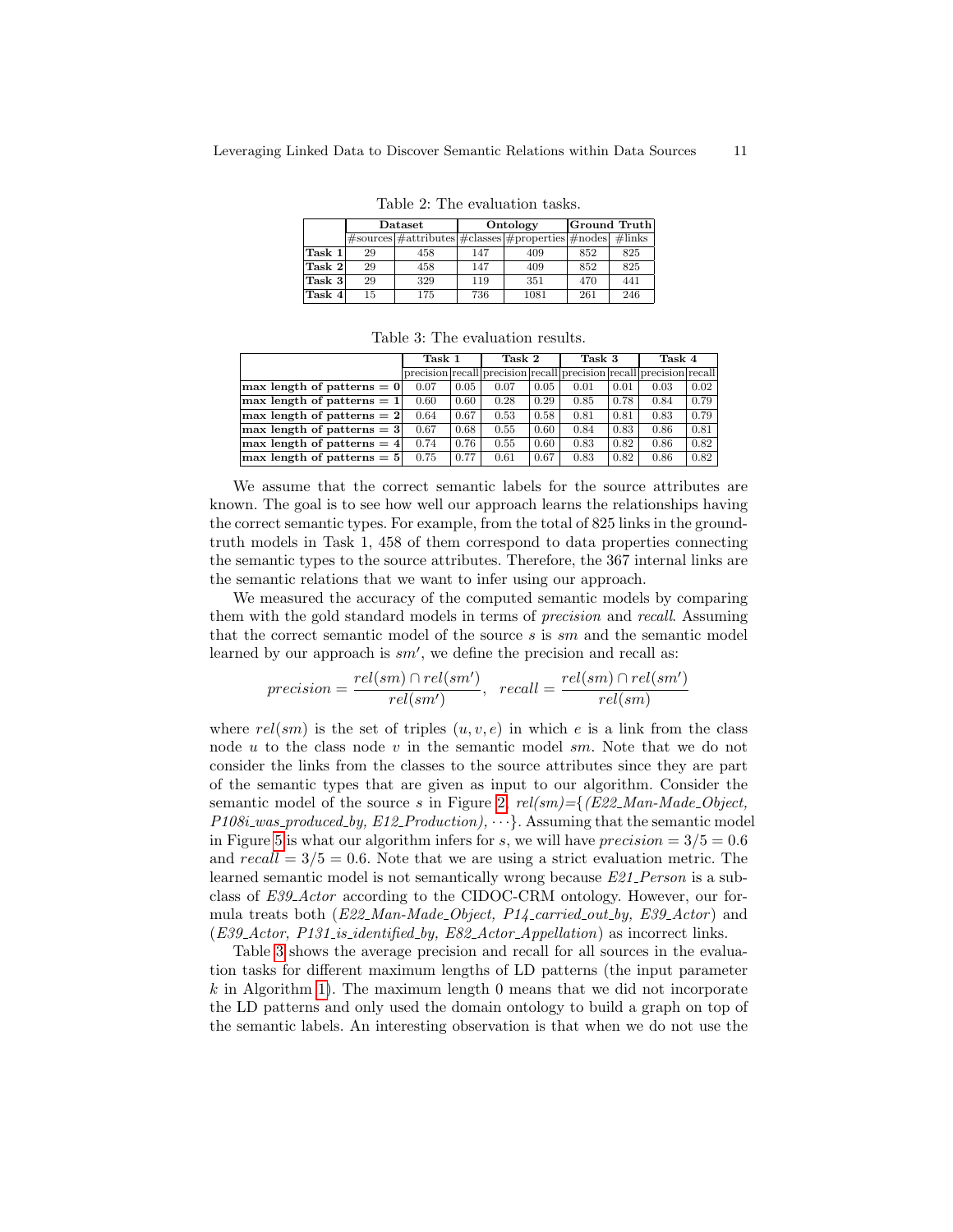<span id="page-10-0"></span>

|        |    | Dataset |     | Ontology                                                                                                | Ground Truth |                  |  |
|--------|----|---------|-----|---------------------------------------------------------------------------------------------------------|--------------|------------------|--|
|        |    |         |     | $\# \text{sources}$ $\# \text{attributes}$ $\# \text{classes}$ $\# \text{properties}$ $\# \text{nodes}$ |              | $\#\text{links}$ |  |
| Task 1 | 29 | 458     | 147 | 409                                                                                                     | 852          | 825              |  |
| Task 2 | 29 | 458     | 147 | 409                                                                                                     | 852          | 825              |  |
| Task 3 | 29 | 329     | 119 | 351                                                                                                     | 470          | 441              |  |
| Task 4 | 15 | 175     | 736 | 1081                                                                                                    | 261          | 246              |  |

Table 2: The evaluation tasks.

<span id="page-10-1"></span>

|                                 | Task 1 |      | Task 2                                                              |      | Task 3 |      | Task 4 |      |
|---------------------------------|--------|------|---------------------------------------------------------------------|------|--------|------|--------|------|
|                                 |        |      | precision recall precision recall precision recall precision recall |      |        |      |        |      |
| $\max$ length of patterns $= 0$ | 0.07   | 0.05 | 0.07                                                                | 0.05 | 0.01   | 0.01 | 0.03   | 0.02 |
| $\max$ length of patterns $= 1$ | 0.60   | 0.60 | 0.28                                                                | 0.29 | 0.85   | 0.78 | 0.84   | 0.79 |
| $\max$ length of patterns $= 2$ | 0.64   | 0.67 | 0.53                                                                | 0.58 | 0.81   | 0.81 | 0.83   | 0.79 |
| $\max$ length of patterns $= 3$ | 0.67   | 0.68 | 0.55                                                                | 0.60 | 0.84   | 0.83 | 0.86   | 0.81 |
| $\max$ length of patterns $= 4$ | 0.74   | 0.76 | 0.55                                                                | 0.60 | 0.83   | 0.82 | 0.86   | 0.82 |
| $\max$ length of patterns $= 5$ | 0.75   | 0.77 | 0.61                                                                | 0.67 | 0.83   | 0.82 | 0.86   | 0.82 |

Table 3: The evaluation results.

We assume that the correct semantic labels for the source attributes are known. The goal is to see how well our approach learns the relationships having the correct semantic types. For example, from the total of 825 links in the groundtruth models in Task 1, 458 of them correspond to data properties connecting the semantic types to the source attributes. Therefore, the 367 internal links are the semantic relations that we want to infer using our approach.

We measured the accuracy of the computed semantic models by comparing them with the gold standard models in terms of precision and recall. Assuming that the correct semantic model of the source  $s$  is  $sm$  and the semantic model learned by our approach is  $sm'$ , we define the precision and recall as:

$$
precision = \frac{rel(sm) \cap rel(sm')}{rel(sm')}, \quad recall = \frac{rel(sm) \cap rel(sm')}{rel(sm)}
$$

where  $rel(sm)$  is the set of triples  $(u, v, e)$  in which e is a link from the class node u to the class node v in the semantic model  $sm$ . Note that we do not consider the links from the classes to the source attributes since they are part of the semantic types that are given as input to our algorithm. Consider the semantic model of the source s in Figure [2,](#page-2-0)  $rel(sm)=\{ (E22_M-an-Made\_Object,$  $P108i_$  was produced by, E12 Production),  $\cdots$ . Assuming that the semantic model in Figure [5](#page-9-0) is what our algorithm infers for s, we will have  $precision = 3/5 = 0.6$ and  $recall = 3/5 = 0.6$ . Note that we are using a strict evaluation metric. The learned semantic model is not semantically wrong because  $E21$ -Person is a subclass of E39 Actor according to the CIDOC-CRM ontology. However, our formula treats both ( $E22_Man-Made-Object$ ,  $P14_{\text{-}}carried_{\text{-}}out_{\text{-}}by$ ,  $E39_{\text{-}}Actor$ ) and (E39 Actor, P131 is identified by, E82 Actor Appellation) as incorrect links.

Table [3](#page-10-1) shows the average precision and recall for all sources in the evaluation tasks for different maximum lengths of LD patterns (the input parameter  $k$  in Algorithm [1\)](#page-5-0). The maximum length 0 means that we did not incorporate the LD patterns and only used the domain ontology to build a graph on top of the semantic labels. An interesting observation is that when we do not use the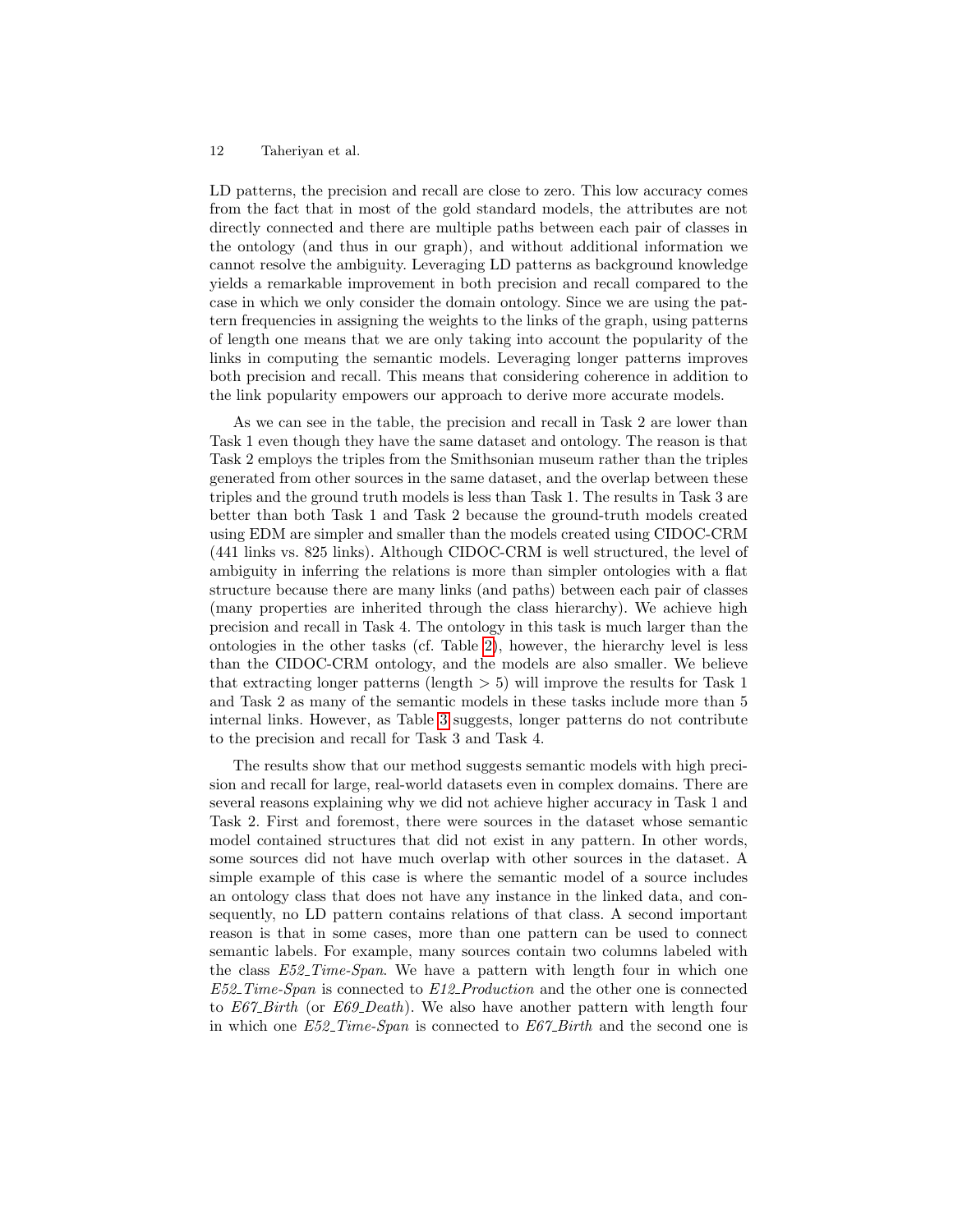LD patterns, the precision and recall are close to zero. This low accuracy comes from the fact that in most of the gold standard models, the attributes are not directly connected and there are multiple paths between each pair of classes in the ontology (and thus in our graph), and without additional information we cannot resolve the ambiguity. Leveraging LD patterns as background knowledge yields a remarkable improvement in both precision and recall compared to the case in which we only consider the domain ontology. Since we are using the pattern frequencies in assigning the weights to the links of the graph, using patterns of length one means that we are only taking into account the popularity of the links in computing the semantic models. Leveraging longer patterns improves both precision and recall. This means that considering coherence in addition to the link popularity empowers our approach to derive more accurate models.

As we can see in the table, the precision and recall in Task 2 are lower than Task 1 even though they have the same dataset and ontology. The reason is that Task 2 employs the triples from the Smithsonian museum rather than the triples generated from other sources in the same dataset, and the overlap between these triples and the ground truth models is less than Task 1. The results in Task 3 are better than both Task 1 and Task 2 because the ground-truth models created using EDM are simpler and smaller than the models created using CIDOC-CRM (441 links vs. 825 links). Although CIDOC-CRM is well structured, the level of ambiguity in inferring the relations is more than simpler ontologies with a flat structure because there are many links (and paths) between each pair of classes (many properties are inherited through the class hierarchy). We achieve high precision and recall in Task 4. The ontology in this task is much larger than the ontologies in the other tasks (cf. Table [2\)](#page-10-0), however, the hierarchy level is less than the CIDOC-CRM ontology, and the models are also smaller. We believe that extracting longer patterns (length  $> 5$ ) will improve the results for Task 1 and Task 2 as many of the semantic models in these tasks include more than 5 internal links. However, as Table [3](#page-10-1) suggests, longer patterns do not contribute to the precision and recall for Task 3 and Task 4.

The results show that our method suggests semantic models with high precision and recall for large, real-world datasets even in complex domains. There are several reasons explaining why we did not achieve higher accuracy in Task 1 and Task 2. First and foremost, there were sources in the dataset whose semantic model contained structures that did not exist in any pattern. In other words, some sources did not have much overlap with other sources in the dataset. A simple example of this case is where the semantic model of a source includes an ontology class that does not have any instance in the linked data, and consequently, no LD pattern contains relations of that class. A second important reason is that in some cases, more than one pattern can be used to connect semantic labels. For example, many sources contain two columns labeled with the class E52 Time-Span. We have a pattern with length four in which one E52 Time-Span is connected to E12 Production and the other one is connected to E67\_Birth (or E69\_Death). We also have another pattern with length four in which one  $E52$ -Time-Span is connected to  $E67$ -Birth and the second one is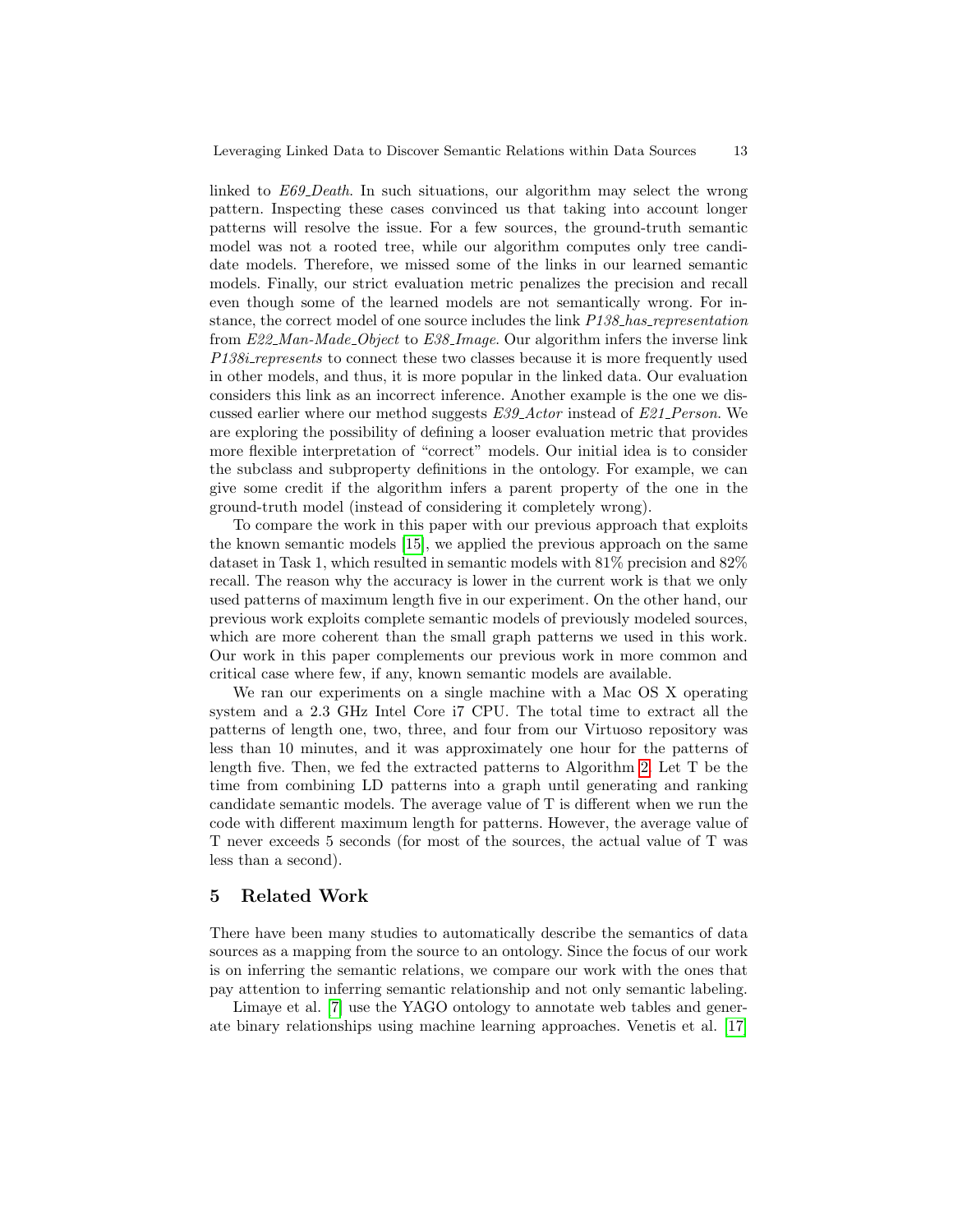linked to E69\_Death. In such situations, our algorithm may select the wrong pattern. Inspecting these cases convinced us that taking into account longer patterns will resolve the issue. For a few sources, the ground-truth semantic model was not a rooted tree, while our algorithm computes only tree candidate models. Therefore, we missed some of the links in our learned semantic models. Finally, our strict evaluation metric penalizes the precision and recall even though some of the learned models are not semantically wrong. For instance, the correct model of one source includes the link  $P138$  has representation from  $E22_M$ *an-Made\_Object* to  $E38_L$ *mage*. Our algorithm infers the inverse link P138i\_represents to connect these two classes because it is more frequently used in other models, and thus, it is more popular in the linked data. Our evaluation considers this link as an incorrect inference. Another example is the one we discussed earlier where our method suggests E39 Actor instead of E21 Person. We are exploring the possibility of defining a looser evaluation metric that provides more flexible interpretation of "correct" models. Our initial idea is to consider the subclass and subproperty definitions in the ontology. For example, we can give some credit if the algorithm infers a parent property of the one in the ground-truth model (instead of considering it completely wrong).

To compare the work in this paper with our previous approach that exploits the known semantic models [\[15\]](#page-15-7), we applied the previous approach on the same dataset in Task 1, which resulted in semantic models with 81% precision and 82% recall. The reason why the accuracy is lower in the current work is that we only used patterns of maximum length five in our experiment. On the other hand, our previous work exploits complete semantic models of previously modeled sources, which are more coherent than the small graph patterns we used in this work. Our work in this paper complements our previous work in more common and critical case where few, if any, known semantic models are available.

We ran our experiments on a single machine with a Mac OS X operating system and a 2.3 GHz Intel Core i7 CPU. The total time to extract all the patterns of length one, two, three, and four from our Virtuoso repository was less than 10 minutes, and it was approximately one hour for the patterns of length five. Then, we fed the extracted patterns to Algorithm [2.](#page-5-1) Let T be the time from combining LD patterns into a graph until generating and ranking candidate semantic models. The average value of T is different when we run the code with different maximum length for patterns. However, the average value of T never exceeds 5 seconds (for most of the sources, the actual value of T was less than a second).

# 5 Related Work

There have been many studies to automatically describe the semantics of data sources as a mapping from the source to an ontology. Since the focus of our work is on inferring the semantic relations, we compare our work with the ones that pay attention to inferring semantic relationship and not only semantic labeling.

Limaye et al. [\[7\]](#page-15-12) use the YAGO ontology to annotate web tables and generate binary relationships using machine learning approaches. Venetis et al. [\[17\]](#page-15-4)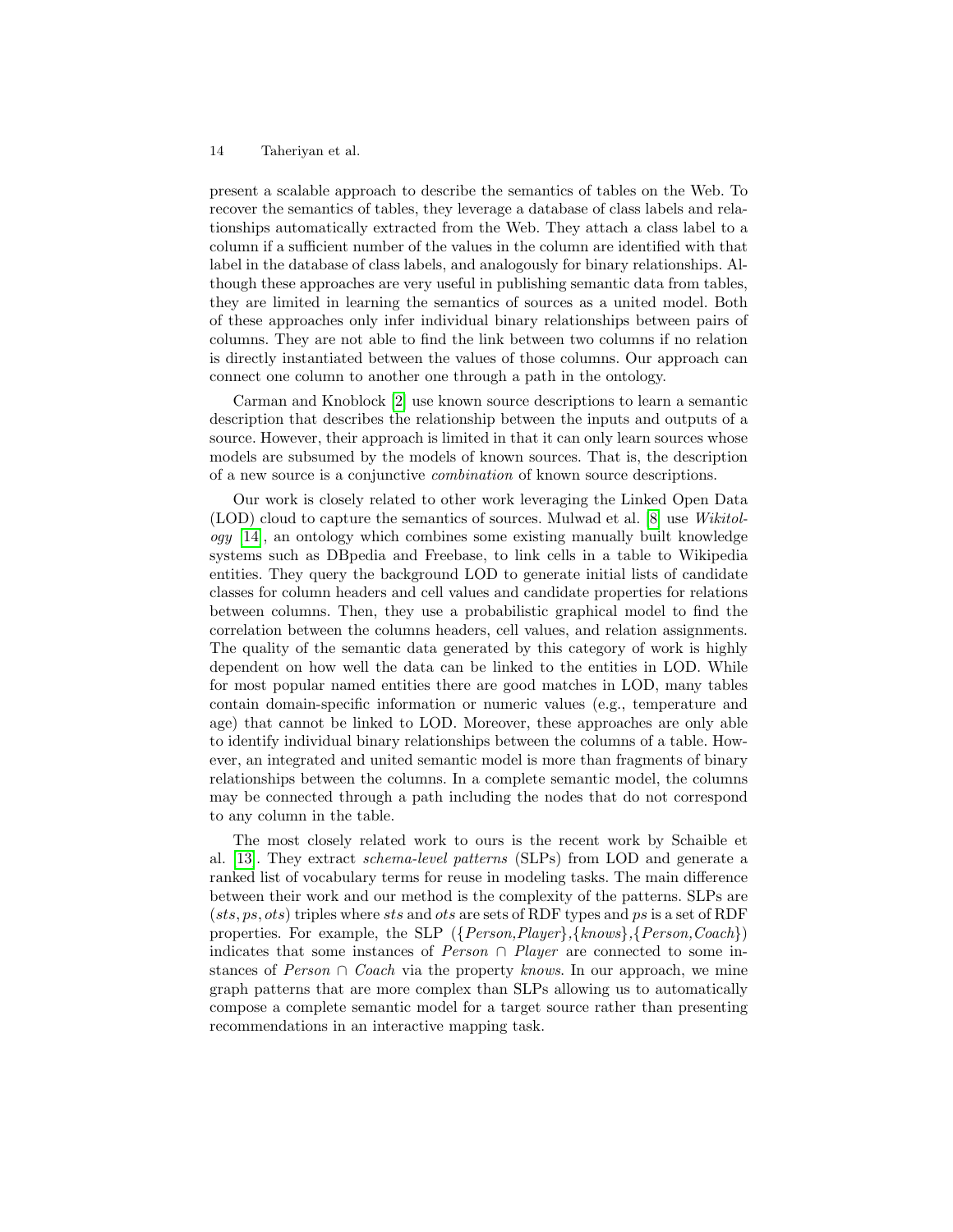present a scalable approach to describe the semantics of tables on the Web. To recover the semantics of tables, they leverage a database of class labels and relationships automatically extracted from the Web. They attach a class label to a column if a sufficient number of the values in the column are identified with that label in the database of class labels, and analogously for binary relationships. Although these approaches are very useful in publishing semantic data from tables, they are limited in learning the semantics of sources as a united model. Both of these approaches only infer individual binary relationships between pairs of columns. They are not able to find the link between two columns if no relation is directly instantiated between the values of those columns. Our approach can connect one column to another one through a path in the ontology.

Carman and Knoblock [\[2\]](#page-15-13) use known source descriptions to learn a semantic description that describes the relationship between the inputs and outputs of a source. However, their approach is limited in that it can only learn sources whose models are subsumed by the models of known sources. That is, the description of a new source is a conjunctive combination of known source descriptions.

Our work is closely related to other work leveraging the Linked Open Data (LOD) cloud to capture the semantics of sources. Mulwad et al. [\[8\]](#page-15-14) use Wikitology [\[14\]](#page-15-15), an ontology which combines some existing manually built knowledge systems such as DBpedia and Freebase, to link cells in a table to Wikipedia entities. They query the background LOD to generate initial lists of candidate classes for column headers and cell values and candidate properties for relations between columns. Then, they use a probabilistic graphical model to find the correlation between the columns headers, cell values, and relation assignments. The quality of the semantic data generated by this category of work is highly dependent on how well the data can be linked to the entities in LOD. While for most popular named entities there are good matches in LOD, many tables contain domain-specific information or numeric values (e.g., temperature and age) that cannot be linked to LOD. Moreover, these approaches are only able to identify individual binary relationships between the columns of a table. However, an integrated and united semantic model is more than fragments of binary relationships between the columns. In a complete semantic model, the columns may be connected through a path including the nodes that do not correspond to any column in the table.

The most closely related work to ours is the recent work by Schaible et al. [\[13\]](#page-15-16). They extract schema-level patterns (SLPs) from LOD and generate a ranked list of vocabulary terms for reuse in modeling tasks. The main difference between their work and our method is the complexity of the patterns. SLPs are  $(sts, ps, ots)$  triples where sts and ots are sets of RDF types and ps is a set of RDF properties. For example, the SLP ({Person,Player},{knows},{Person,Coach}) indicates that some instances of *Person* ∩ *Player* are connected to some instances of Person  $\cap$  Coach via the property knows. In our approach, we mine graph patterns that are more complex than SLPs allowing us to automatically compose a complete semantic model for a target source rather than presenting recommendations in an interactive mapping task.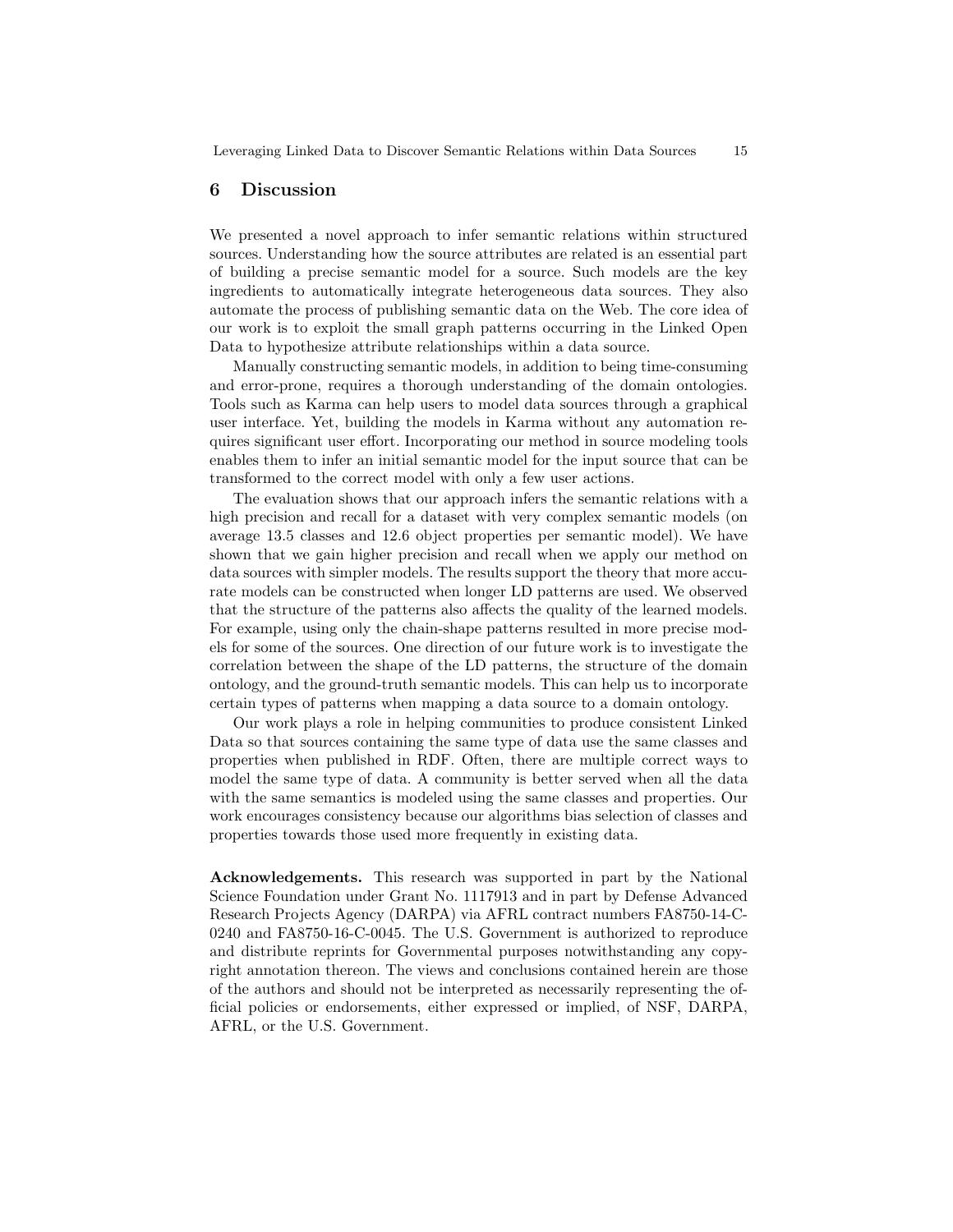# 6 Discussion

We presented a novel approach to infer semantic relations within structured sources. Understanding how the source attributes are related is an essential part of building a precise semantic model for a source. Such models are the key ingredients to automatically integrate heterogeneous data sources. They also automate the process of publishing semantic data on the Web. The core idea of our work is to exploit the small graph patterns occurring in the Linked Open Data to hypothesize attribute relationships within a data source.

Manually constructing semantic models, in addition to being time-consuming and error-prone, requires a thorough understanding of the domain ontologies. Tools such as Karma can help users to model data sources through a graphical user interface. Yet, building the models in Karma without any automation requires significant user effort. Incorporating our method in source modeling tools enables them to infer an initial semantic model for the input source that can be transformed to the correct model with only a few user actions.

The evaluation shows that our approach infers the semantic relations with a high precision and recall for a dataset with very complex semantic models (on average 13.5 classes and 12.6 object properties per semantic model). We have shown that we gain higher precision and recall when we apply our method on data sources with simpler models. The results support the theory that more accurate models can be constructed when longer LD patterns are used. We observed that the structure of the patterns also affects the quality of the learned models. For example, using only the chain-shape patterns resulted in more precise models for some of the sources. One direction of our future work is to investigate the correlation between the shape of the LD patterns, the structure of the domain ontology, and the ground-truth semantic models. This can help us to incorporate certain types of patterns when mapping a data source to a domain ontology.

Our work plays a role in helping communities to produce consistent Linked Data so that sources containing the same type of data use the same classes and properties when published in RDF. Often, there are multiple correct ways to model the same type of data. A community is better served when all the data with the same semantics is modeled using the same classes and properties. Our work encourages consistency because our algorithms bias selection of classes and properties towards those used more frequently in existing data.

Acknowledgements. This research was supported in part by the National Science Foundation under Grant No. 1117913 and in part by Defense Advanced Research Projects Agency (DARPA) via AFRL contract numbers FA8750-14-C-0240 and FA8750-16-C-0045. The U.S. Government is authorized to reproduce and distribute reprints for Governmental purposes notwithstanding any copyright annotation thereon. The views and conclusions contained herein are those of the authors and should not be interpreted as necessarily representing the official policies or endorsements, either expressed or implied, of NSF, DARPA, AFRL, or the U.S. Government.